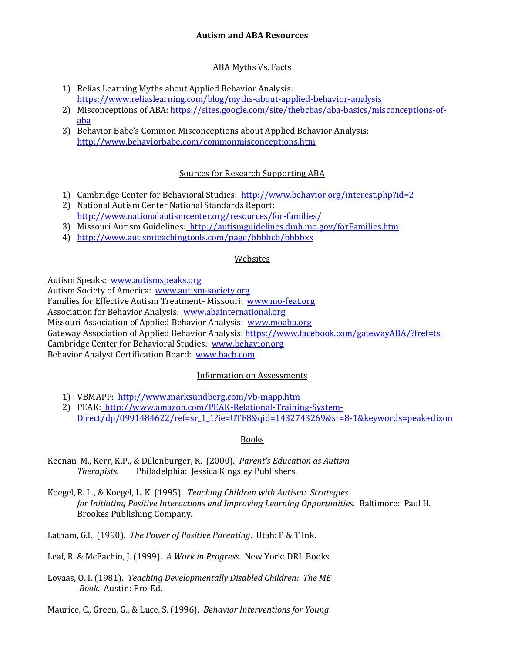# ABA Myths Vs. Facts

- 1) Relias Learning Myths about Applied Behavior Analysis: <https://www.reliaslearning.com/blog/myths-about-applied-behavior-analysis>
- 2) Misconceptions of ABA: [https://sites.google.com/site/thebcbas/aba-basics/misconceptions-of](https://sites.google.com/site/thebcbas/aba-basics/misconceptions-of-aba)[aba](https://sites.google.com/site/thebcbas/aba-basics/misconceptions-of-aba)
- 3) Behavior Babe's Common Misconceptions about Applied Behavior Analysis: <http://www.behaviorbabe.com/commonmisconceptions.htm>

# Sources for Research Supporting ABA

- 1) Cambridge Center for Behavioral Studies:<http://www.behavior.org/interest.php?id=2>
- 2) National Autism Center National Standards Report: <http://www.nationalautismcenter.org/resources/for-families/>
- 3) Missouri Autism Guidelines:<http://autismguidelines.dmh.mo.gov/forFamilies.htm>
- 4) <http://www.autismteachingtools.com/page/bbbbcb/bbbbxx>

# Websites

Autism Speaks: [www.autismspeaks.org](http://www.autismspeaks.org/)

Autism Society of America: [www.autism-society.org](http://www.autism-society.org/)

Families for Effective Autism Treatment- Missouri: [www.mo-feat.org](http://www.mo-feat.org/)

Association for Behavior Analysis: [www.abainternational.org](http://www.abainternational.org/)

Missouri Association of Applied Behavior Analysis: [www.moaba.org](http://www.moaba.org/)

Gateway Association of Applied Behavior Analysis[: https://www.facebook.com/gatewayABA/?fref=ts](https://www.facebook.com/gatewayABA/?fref=ts)

Cambridge Center for Behavioral Studies: [www.behavior.org](http://www.behavior.org/)

Behavior Analyst Certification Board: [www.bacb.com](http://www.bacb.com/)

### Information on Assessments

- 1) VBMAPP: <http://www.marksundberg.com/vb-mapp.htm>
- 2) PEAK: [http://www.amazon.com/PEAK-Relational-Training-System-](http://www.amazon.com/PEAK-Relational-Training-System-Direct/dp/0991484622/ref=sr_1_1?ie=UTF8&qid=1432743269&sr=8-1&keywords=peak+dixon)[Direct/dp/0991484622/ref=sr\\_1\\_1?ie=UTF8&qid=1432743269&sr=8-1&keywords=peak+dixon](http://www.amazon.com/PEAK-Relational-Training-System-Direct/dp/0991484622/ref=sr_1_1?ie=UTF8&qid=1432743269&sr=8-1&keywords=peak+dixon)

### **Books**

- Keenan, M., Kerr, K.P., & Dillenburger, K. (2000). *Parent's Education as Autism Therapists.* Philadelphia: Jessica Kingsley Publishers.
- Koegel, R. L., & Koegel, L. K. (1995). *Teaching Children with Autism: Strategies for Initiating Positive Interactions and Improving Learning Opportunities.* Baltimore: Paul H. Brookes Publishing Company.

Latham, G.I. (1990). *The Power of Positive Parenting*. Utah: P & T Ink.

Leaf, R. & McEachin, J. (1999). *A Work in Progress*. New York: DRL Books.

Lovaas, O. I. (1981). *Teaching Developmentally Disabled Children: The ME Book*. Austin: Pro-Ed.

Maurice, C., Green, G., & Luce, S. (1996). *Behavior Interventions for Young*